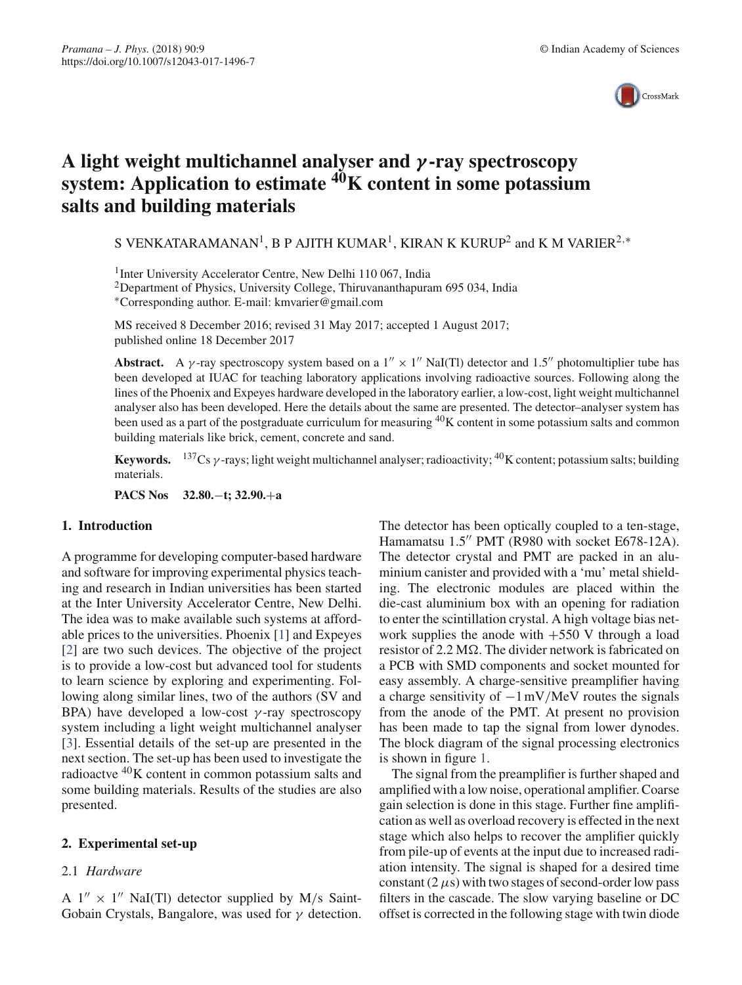

# **A light weight multichannel analyser and** *γ* **-ray spectroscopy system: Application to estimate 40K content in some potassium salts and building materials**

S VENKATARAMANAN<sup>1</sup>, B P AJITH KUMAR<sup>1</sup>, KIRAN K KURUP<sup>2</sup> and K M VARIER<sup>2,\*</sup>

<sup>1</sup>Inter University Accelerator Centre, New Delhi 110 067, India

2Department of Physics, University College, Thiruvananthapuram 695 034, India ∗Corresponding author. E-mail: kmvarier@gmail.com

MS received 8 December 2016; revised 31 May 2017; accepted 1 August 2017; published online 18 December 2017

**Abstract.** A *γ*-ray spectroscopy system based on a  $1'' \times 1''$  NaI(Tl) detector and 1.5" photomultiplier tube has been developed at IUAC for teaching laboratory applications involving radioactive sources. Following along the lines of the Phoenix and Expeyes hardware developed in the laboratory earlier, a low-cost, light weight multichannel analyser also has been developed. Here the details about the same are presented. The detector–analyser system has been used as a part of the postgraduate curriculum for measuring  ${}^{40}$ K content in some potassium salts and common building materials like brick, cement, concrete and sand.

**Keywords.**  $137Cs$  y-rays; light weight multichannel analyser; radioactivity;  $40K$  content; potassium salts; building materials.

**PACS Nos 32.80.**−**t; 32.90.**+**a**

## **1. Introduction**

A programme for developing computer-based hardware and software for improving experimental physics teaching and research in Indian universities has been started at the Inter University Accelerator Centre, New Delhi. The idea was to make available such systems at affordable prices to the universities. Phoenix [1] and Expeyes [2] are two such devices. The objective of the project is to provide a low-cost but advanced tool for students to learn science by exploring and experimenting. Following along similar lines, two of the authors (SV and BPA) have developed a low-cost  $\gamma$ -ray spectroscopy system including a light weight multichannel analyser [3]. Essential details of the set-up are presented in the next section. The set-up has been used to investigate the radioactve  ${}^{40}$ K content in common potassium salts and some building materials. Results of the studies are also presented.

## **2. Experimental set-up**

# 2.1 *Hardware*

A  $1'' \times 1''$  NaI(Tl) detector supplied by M/s Saint-Gobain Crystals, Bangalore, was used for  $\gamma$  detection. The detector has been optically coupled to a ten-stage, Hamamatsu 1.5" PMT (R980 with socket E678-12A). The detector crystal and PMT are packed in an aluminium canister and provided with a 'mu' metal shielding. The electronic modules are placed within the die-cast aluminium box with an opening for radiation to enter the scintillation crystal. A high voltage bias network supplies the anode with  $+550$  V through a load resistor of 2.2 M $\Omega$ . The divider network is fabricated on a PCB with SMD components and socket mounted for easy assembly. A charge-sensitive preamplifier having a charge sensitivity of  $-1 \text{ mV/MeV}$  routes the signals from the anode of the PMT. At present no provision has been made to tap the signal from lower dynodes. The block diagram of the signal processing electronics is shown in figure 1.

The signal from the preamplifier is further shaped and amplified with a low noise, operational amplifier. Coarse gain selection is done in this stage. Further fine amplification as well as overload recovery is effected in the next stage which also helps to recover the amplifier quickly from pile-up of events at the input due to increased radiation intensity. The signal is shaped for a desired time constant  $(2 \mu s)$  with two stages of second-order low pass filters in the cascade. The slow varying baseline or DC offset is corrected in the following stage with twin diode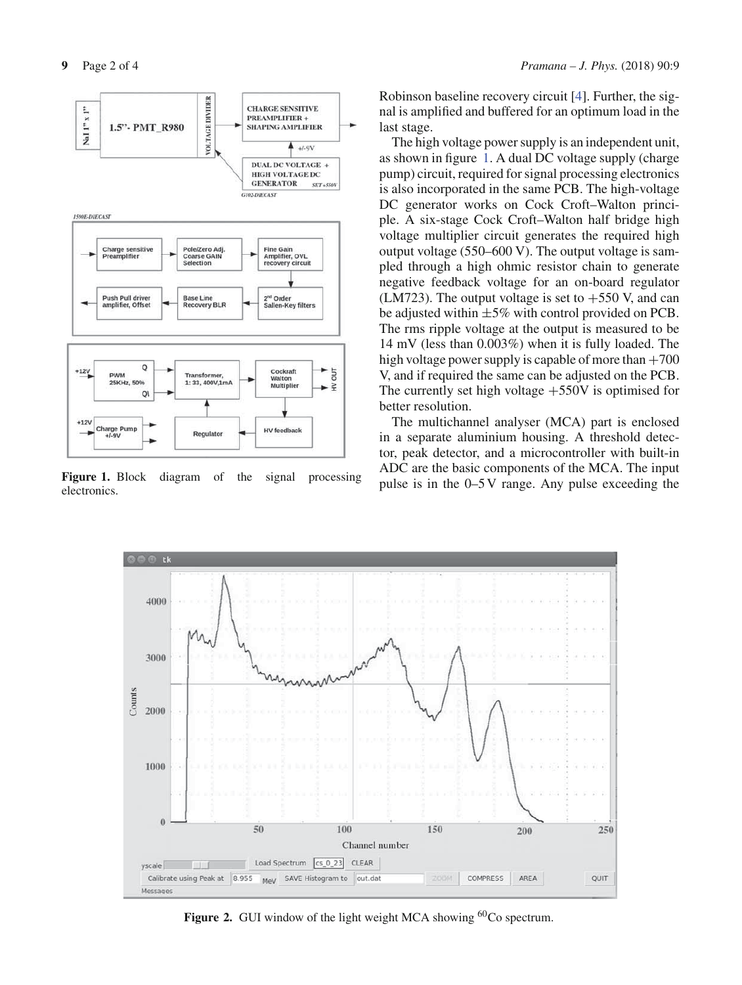

Figure 1. Block diagram of the signal processing electronics.

Robinson baseline recovery circuit [4]. Further, the signal is amplified and buffered for an optimum load in the last stage.

The high voltage power supply is an independent unit, as shown in figure 1. A dual DC voltage supply (charge pump) circuit, required for signal processing electronics is also incorporated in the same PCB. The high-voltage DC generator works on Cock Croft–Walton principle. A six-stage Cock Croft–Walton half bridge high voltage multiplier circuit generates the required high output voltage (550–600 V). The output voltage is sampled through a high ohmic resistor chain to generate negative feedback voltage for an on-board regulator (LM723). The output voltage is set to  $+550$  V, and can be adjusted within  $\pm 5\%$  with control provided on PCB. The rms ripple voltage at the output is measured to be 14 mV (less than 0.003%) when it is fully loaded. The high voltage power supply is capable of more than  $+700$ V, and if required the same can be adjusted on the PCB. The currently set high voltage  $+550V$  is optimised for better resolution.

The multichannel analyser (MCA) part is enclosed in a separate aluminium housing. A threshold detector, peak detector, and a microcontroller with built-in ADC are the basic components of the MCA. The input pulse is in the 0–5 V range. Any pulse exceeding the



Figure 2. GUI window of the light weight MCA showing <sup>60</sup>Co spectrum.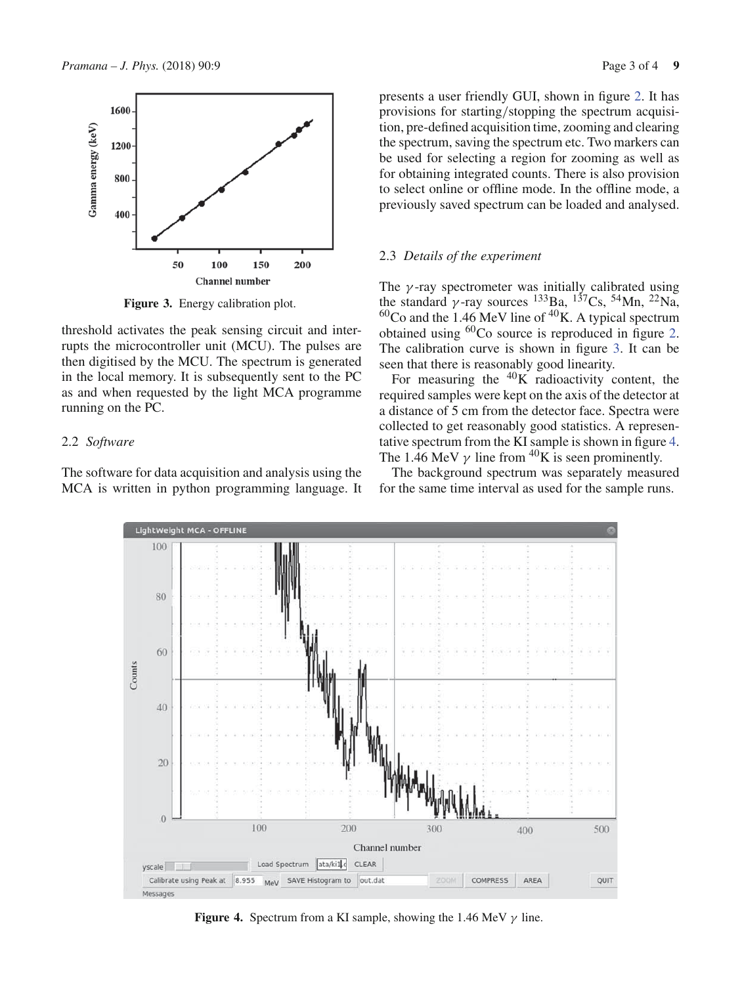

**Figure 3.** Energy calibration plot.

threshold activates the peak sensing circuit and interrupts the microcontroller unit (MCU). The pulses are then digitised by the MCU. The spectrum is generated in the local memory. It is subsequently sent to the PC as and when requested by the light MCA programme running on the PC.

## 2.2 *Software*

The software for data acquisition and analysis using the MCA is written in python programming language. It presents a user friendly GUI, shown in figure 2. It has provisions for starting/stopping the spectrum acquisition, pre-defined acquisition time, zooming and clearing the spectrum, saving the spectrum etc. Two markers can be used for selecting a region for zooming as well as for obtaining integrated counts. There is also provision to select online or offline mode. In the offline mode, a previously saved spectrum can be loaded and analysed.

#### 2.3 *Details of the experiment*

The  $\gamma$ -ray spectrometer was initially calibrated using the standard  $\gamma$ -ray sources <sup>133</sup>Ba, <sup>137</sup>Cs, <sup>54</sup>Mn, <sup>22</sup>Na,  $60<sup>60</sup>$ Co and the 1.46 MeV line of  $40<sup>K</sup>$ . A typical spectrum obtained using 60Co source is reproduced in figure 2. The calibration curve is shown in figure 3. It can be seen that there is reasonably good linearity.

For measuring the  ${}^{40}$ K radioactivity content, the required samples were kept on the axis of the detector at a distance of 5 cm from the detector face. Spectra were collected to get reasonably good statistics. A representative spectrum from the KI sample is shown in figure 4. The 1.46 MeV  $\gamma$  line from <sup>40</sup>K is seen prominently.

The background spectrum was separately measured for the same time interval as used for the sample runs.



**Figure 4.** Spectrum from a KI sample, showing the 1.46 MeV  $\gamma$  line.